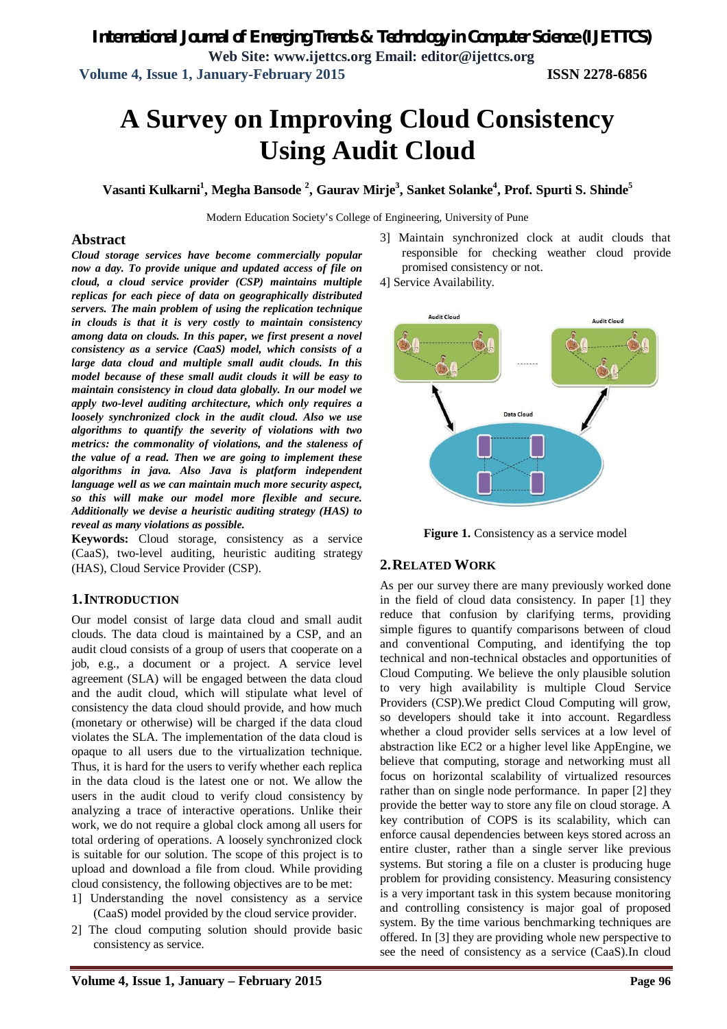# **A Survey on Improving Cloud Consistency Using Audit Cloud**

**Vasanti Kulkarni<sup>1</sup> , Megha Bansode <sup>2</sup> , Gaurav Mirje<sup>3</sup> , Sanket Solanke<sup>4</sup> , Prof. Spurti S. Shinde<sup>5</sup>**

Modern Education Society's College of Engineering, University of Pune

#### **Abstract**

*Cloud storage services have become commercially popular now a day. To provide unique and updated access of file on cloud, a cloud service provider (CSP) maintains multiple replicas for each piece of data on geographically distributed servers. The main problem of using the replication technique in clouds is that it is very costly to maintain consistency among data on clouds. In this paper, we first present a novel consistency as a service (CaaS) model, which consists of a large data cloud and multiple small audit clouds. In this model because of these small audit clouds it will be easy to maintain consistency in cloud data globally. In our model we apply two-level auditing architecture, which only requires a loosely synchronized clock in the audit cloud. Also we use algorithms to quantify the severity of violations with two metrics: the commonality of violations, and the staleness of the value of a read. Then we are going to implement these algorithms in java. Also Java is platform independent language well as we can maintain much more security aspect, so this will make our model more flexible and secure. Additionally we devise a heuristic auditing strategy (HAS) to reveal as many violations as possible.*

**Keywords:** Cloud storage, consistency as a service (CaaS), two-level auditing, heuristic auditing strategy (HAS), Cloud Service Provider (CSP).

#### **1.INTRODUCTION**

Our model consist of large data cloud and small audit clouds. The data cloud is maintained by a CSP, and an audit cloud consists of a group of users that cooperate on a job, e.g., a document or a project. A service level agreement (SLA) will be engaged between the data cloud and the audit cloud, which will stipulate what level of consistency the data cloud should provide, and how much (monetary or otherwise) will be charged if the data cloud violates the SLA. The implementation of the data cloud is opaque to all users due to the virtualization technique. Thus, it is hard for the users to verify whether each replica in the data cloud is the latest one or not. We allow the users in the audit cloud to verify cloud consistency by analyzing a trace of interactive operations. Unlike their work, we do not require a global clock among all users for total ordering of operations. A loosely synchronized clock is suitable for our solution. The scope of this project is to upload and download a file from cloud. While providing cloud consistency, the following objectives are to be met:

- 1] Understanding the novel consistency as a service (CaaS) model provided by the cloud service provider.
- 2] The cloud computing solution should provide basic consistency as service.
- 3] Maintain synchronized clock at audit clouds that responsible for checking weather cloud provide promised consistency or not.
- 4] Service Availability.



**Figure 1.** Consistency as a service model

### **2.RELATED WORK**

As per our survey there are many previously worked done in the field of cloud data consistency. In paper [1] they reduce that confusion by clarifying terms, providing simple figures to quantify comparisons between of cloud and conventional Computing, and identifying the top technical and non-technical obstacles and opportunities of Cloud Computing. We believe the only plausible solution to very high availability is multiple Cloud Service Providers (CSP).We predict Cloud Computing will grow, so developers should take it into account. Regardless whether a cloud provider sells services at a low level of abstraction like EC2 or a higher level like AppEngine, we believe that computing, storage and networking must all focus on horizontal scalability of virtualized resources rather than on single node performance. In paper [2] they provide the better way to store any file on cloud storage. A key contribution of COPS is its scalability, which can enforce causal dependencies between keys stored across an entire cluster, rather than a single server like previous systems. But storing a file on a cluster is producing huge problem for providing consistency. Measuring consistency is a very important task in this system because monitoring and controlling consistency is major goal of proposed system. By the time various benchmarking techniques are offered. In [3] they are providing whole new perspective to see the need of consistency as a service (CaaS).In cloud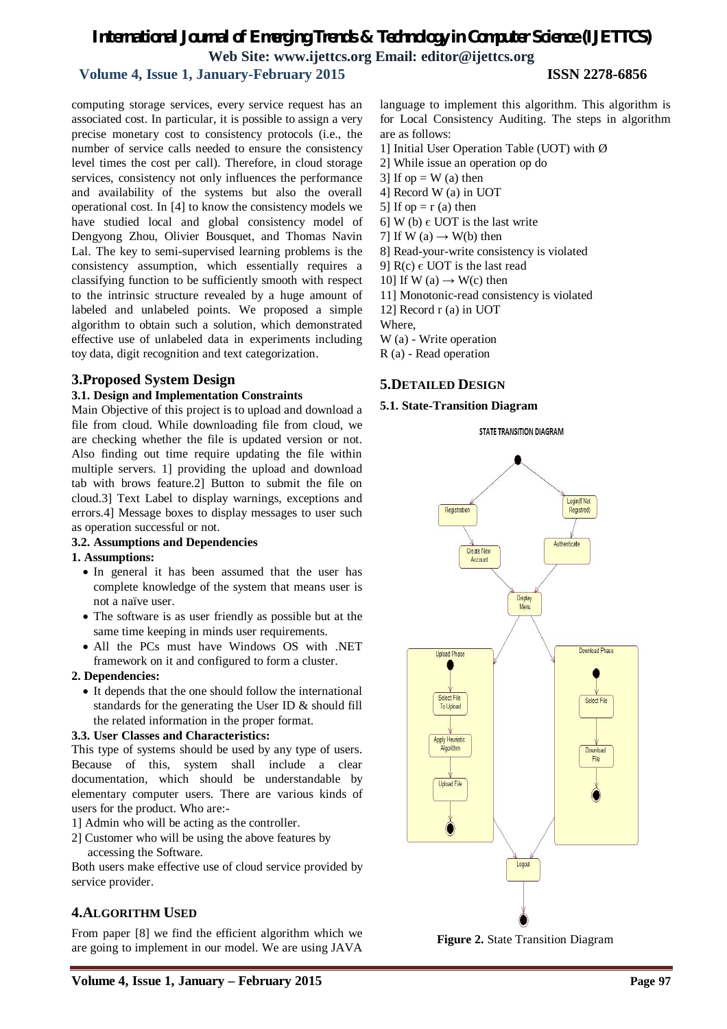# *International Journal of Emerging Trends & Technology in Computer Science (IJETTCS)* **Web Site: www.ijettcs.org Email: editor@ijettcs.org**

 **Volume 4, Issue 1, January-February 2015 ISSN 2278-6856**

computing storage services, every service request has an associated cost. In particular, it is possible to assign a very precise monetary cost to consistency protocols (i.e., the number of service calls needed to ensure the consistency level times the cost per call). Therefore, in cloud storage services, consistency not only influences the performance and availability of the systems but also the overall operational cost. In [4] to know the consistency models we have studied local and global consistency model of Dengyong Zhou, Olivier Bousquet, and Thomas Navin Lal. The key to semi-supervised learning problems is the consistency assumption, which essentially requires a classifying function to be sufficiently smooth with respect to the intrinsic structure revealed by a huge amount of labeled and unlabeled points. We proposed a simple algorithm to obtain such a solution, which demonstrated effective use of unlabeled data in experiments including toy data, digit recognition and text categorization.

### **3.Proposed System Design**

#### **3.1. Design and Implementation Constraints**

Main Objective of this project is to upload and download a file from cloud. While downloading file from cloud, we are checking whether the file is updated version or not. Also finding out time require updating the file within multiple servers. 1] providing the upload and download tab with brows feature.2] Button to submit the file on cloud.3] Text Label to display warnings, exceptions and errors.4] Message boxes to display messages to user such as operation successful or not.

#### **3.2. Assumptions and Dependencies**

#### **1. Assumptions:**

- In general it has been assumed that the user has complete knowledge of the system that means user is not a naïve user.
- The software is as user friendly as possible but at the same time keeping in minds user requirements.
- All the PCs must have Windows OS with .NET framework on it and configured to form a cluster.

#### **2. Dependencies:**

 It depends that the one should follow the international standards for the generating the User ID & should fill the related information in the proper format.

#### **3.3. User Classes and Characteristics:**

This type of systems should be used by any type of users. Because of this, system shall include a clear documentation, which should be understandable by elementary computer users. There are various kinds of users for the product. Who are:-

- 1] Admin who will be acting as the controller.
- 2] Customer who will be using the above features by accessing the Software.

Both users make effective use of cloud service provided by service provider.

# **4.ALGORITHM USED**

From paper [8] we find the efficient algorithm which we are going to implement in our model. We are using JAVA language to implement this algorithm. This algorithm is for Local Consistency Auditing. The steps in algorithm are as follows:

- 1] Initial User Operation Table (UOT) with Ø
- 2] While issue an operation op do
- 3] If  $op = W$  (a) then
- 4] Record W (a) in UOT
- 5] If op  $= r$  (a) then
- 6] W (b)  $\epsilon$  UOT is the last write
- 7] If W (a)  $\rightarrow$  W(b) then
- 8] Read-your-write consistency is violated
- 9]  $R(c) \in UOT$  is the last read
- 10] If W (a)  $\rightarrow$  W(c) then
- 11] Monotonic-read consistency is violated
- 12] Record r (a) in UOT
- Where,
- W (a) Write operation
- R (a) Read operation

# **5.DETAILED DESIGN**

#### **5.1. State-Transition Diagram**





**Figure 2.** State Transition Diagram